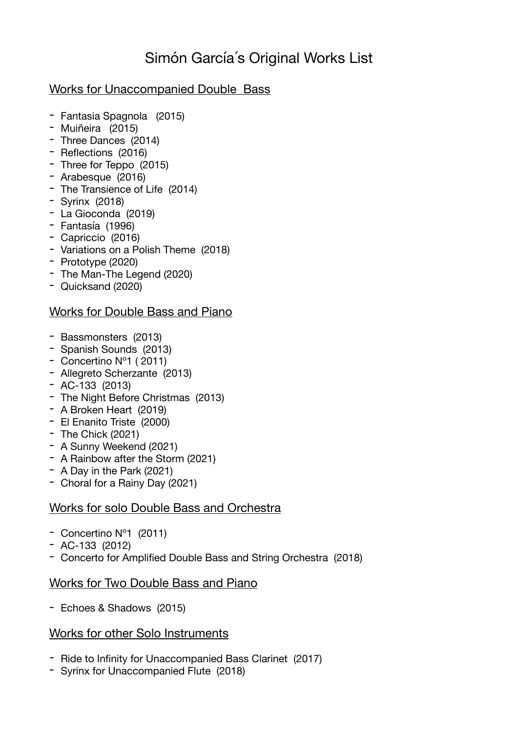# Simón García´s Original Works List

# Works for Unaccompanied Double Bass

- Fantasia Spagnola (2015)
- Muiñeira (2015)
- Three Dances (2014)
- Reflections (2016)
- Three for Teppo (2015)
- Arabesque (2016)
- The Transience of Life (2014)
- Syrinx (2018)
- La Gioconda (2019)
- Fantasía (1996)
- Capriccio (2016)
- Variations on a Polish Theme (2018)
- Prototype (2020)
- The Man-The Legend (2020)
- Quicksand (2020)

# Works for Double Bass and Piano

- Bassmonsters (2013)
- Spanish Sounds (2013)
- Concertino Nº1 ( 2011)
- Allegreto Scherzante (2013)
- AC-133 (2013)
- The Night Before Christmas (2013)
- A Broken Heart (2019)
- El Enanito Triste (2000)
- The Chick (2021)
- A Sunny Weekend (2021)
- A Rainbow after the Storm (2021)
- A Day in the Park (2021)
- Choral for a Rainy Day (2021)

# Works for solo Double Bass and Orchestra

- Concertino Nº1 (2011)
- AC-133 (2012)
- Concerto for Amplified Double Bass and String Orchestra (2018)

# Works for Two Double Bass and Piano

- Echoes & Shadows (2015)

# Works for other Solo Instruments

- Ride to Infinity for Unaccompanied Bass Clarinet (2017)
- Syrinx for Unaccompanied Flute (2018)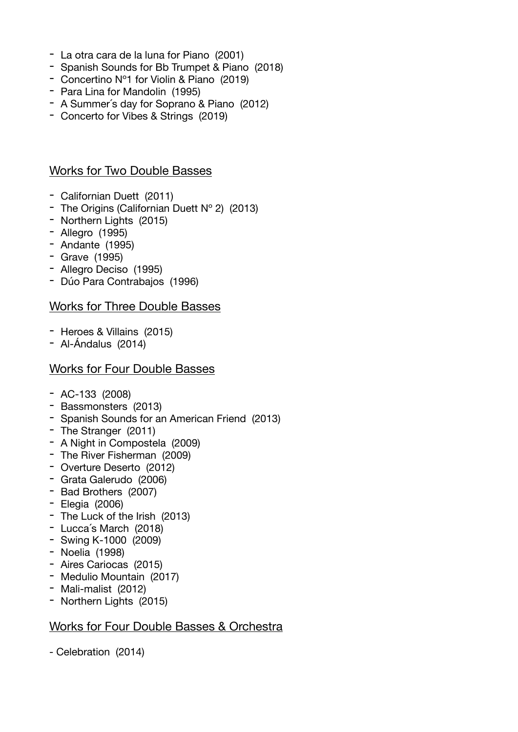- La otra cara de la luna for Piano (2001)
- Spanish Sounds for Bb Trumpet & Piano (2018)
- Concertino Nº1 for Violin & Piano (2019)
- Para Lina for Mandolin (1995)
- A Summer´s day for Soprano & Piano (2012)
- Concerto for Vibes & Strings (2019)

#### Works for Two Double Basses

- Californian Duett (2011)
- The Origins (Californian Duett Nº 2) (2013)
- Northern Lights (2015)
- Allegro (1995)
- Andante (1995)
- Grave (1995)
- Allegro Deciso (1995)
- Dúo Para Contrabajos (1996)

#### Works for Three Double Basses

- Heroes & Villains (2015)
- Al-Ándalus (2014)

#### Works for Four Double Basses

- AC-133 (2008)
- Bassmonsters (2013)
- Spanish Sounds for an American Friend (2013)
- The Stranger (2011)
- A Night in Compostela (2009)
- The River Fisherman (2009)
- Overture Deserto (2012)
- Grata Galerudo (2006)
- Bad Brothers (2007)
- Elegia (2006)
- The Luck of the Irish (2013)
- Lucca´s March (2018)
- Swing K-1000 (2009)
- Noelia (1998)
- Aires Cariocas (2015)
- Medulio Mountain (2017)
- Mali-malist (2012)
- Northern Lights (2015)

#### Works for Four Double Basses & Orchestra

- Celebration (2014)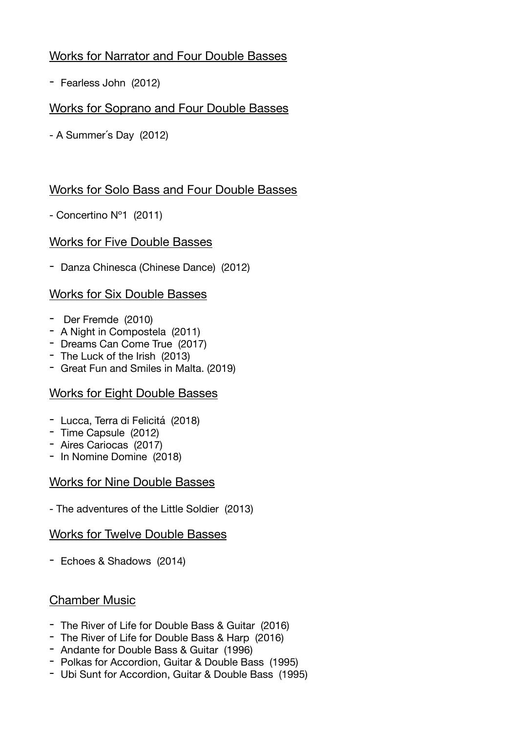# Works for Narrator and Four Double Basses

- Fearless John (2012)

# Works for Soprano and Four Double Basses

- A Summer´s Day (2012)

# Works for Solo Bass and Four Double Basses

- Concertino Nº1 (2011)

# Works for Five Double Basses

- Danza Chinesca (Chinese Dance) (2012)

# Works for Six Double Basses

- Der Fremde (2010)
- A Night in Compostela (2011)
- Dreams Can Come True (2017)
- The Luck of the Irish (2013)
- Great Fun and Smiles in Malta. (2019)

# Works for Eight Double Basses

- Lucca, Terra di Felicitá (2018)
- Time Capsule (2012)
- Aires Cariocas (2017)
- In Nomine Domine (2018)

# Works for Nine Double Basses

- The adventures of the Little Soldier (2013)

# Works for Twelve Double Basses

- Echoes & Shadows (2014)

# Chamber Music

- The River of Life for Double Bass & Guitar (2016)
- The River of Life for Double Bass & Harp (2016)
- Andante for Double Bass & Guitar (1996)
- Polkas for Accordion, Guitar & Double Bass (1995)
- Ubi Sunt for Accordion, Guitar & Double Bass (1995)